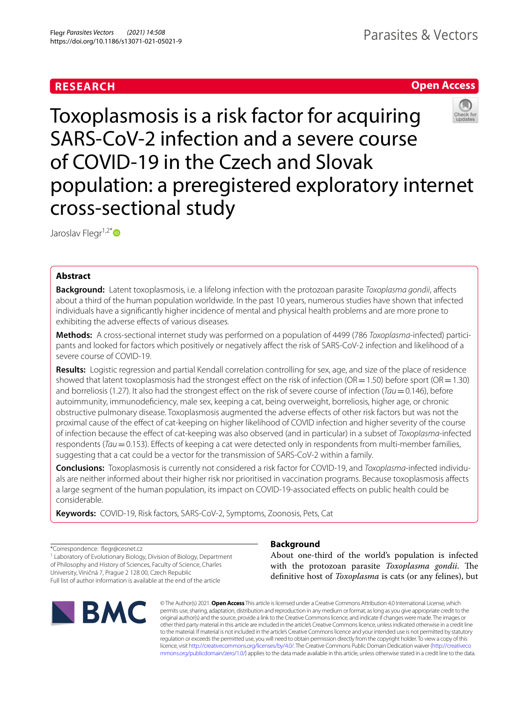# **RESEARCH**

# **Open Access**



Toxoplasmosis is a risk factor for acquiring SARS-CoV-2 infection and a severe course of COVID-19 in the Czech and Slovak population: a preregistered exploratory internet cross-sectional study

Jaroslav Flegr<sup>1,2[\\*](http://orcid.org/0000-0002-0822-0126)</sup>

# **Abstract**

**Background:** Latent toxoplasmosis, i.e. a lifelong infection with the protozoan parasite *Toxoplasma gondii*, afects about a third of the human population worldwide. In the past 10 years, numerous studies have shown that infected individuals have a signifcantly higher incidence of mental and physical health problems and are more prone to exhibiting the adverse effects of various diseases.

**Methods:** A cross-sectional internet study was performed on a population of 4499 (786 *Toxoplasma*-infected) participants and looked for factors which positively or negatively afect the risk of SARS-CoV-2 infection and likelihood of a severe course of COVID-19.

**Results:** Logistic regression and partial Kendall correlation controlling for sex, age, and size of the place of residence showed that latent toxoplasmosis had the strongest effect on the risk of infection ( $OR=1.50$ ) before sport ( $OR=1.30$ ) and borreliosis (1.27). It also had the strongest efect on the risk of severe course of infection (*Tau*=0.146), before autoimmunity, immunodefciency, male sex, keeping a cat, being overweight, borreliosis, higher age, or chronic obstructive pulmonary disease. Toxoplasmosis augmented the adverse efects of other risk factors but was not the proximal cause of the efect of cat-keeping on higher likelihood of COVID infection and higher severity of the course of infection because the efect of cat-keeping was also observed (and in particular) in a subset of *Toxoplasma*-infected respondents (*Tau*=0.153). Efects of keeping a cat were detected only in respondents from multi-member families, suggesting that a cat could be a vector for the transmission of SARS-CoV-2 within a family.

**Conclusions:** Toxoplasmosis is currently not considered a risk factor for COVID-19, and *Toxoplasma*-infected individuals are neither informed about their higher risk nor prioritised in vaccination programs. Because toxoplasmosis afects a large segment of the human population, its impact on COVID-19-associated efects on public health could be considerable.

**Keywords:** COVID-19, Risk factors, SARS-CoV-2, Symptoms, Zoonosis, Pets, Cat

\*Correspondence: fegr@cesnet.cz

<sup>1</sup> Laboratory of Evolutionary Biology, Division of Biology, Department of Philosophy and History of Sciences, Faculty of Science, Charles University, Viničná 7, Prague 2 128 00, Czech Republic Full list of author information is available at the end of the article



# **Background**

About one-third of the world's population is infected with the protozoan parasite *Toxoplasma gondii*. The defnitive host of *Toxoplasma* is cats (or any felines), but

© The Author(s) 2021. **Open Access** This article is licensed under a Creative Commons Attribution 4.0 International License, which permits use, sharing, adaptation, distribution and reproduction in any medium or format, as long as you give appropriate credit to the original author(s) and the source, provide a link to the Creative Commons licence, and indicate if changes were made. The images or other third party material in this article are included in the article's Creative Commons licence, unless indicated otherwise in a credit line to the material. If material is not included in the article's Creative Commons licence and your intended use is not permitted by statutory regulation or exceeds the permitted use, you will need to obtain permission directly from the copyright holder. To view a copy of this licence, visit [http://creativecommons.org/licenses/by/4.0/.](http://creativecommons.org/licenses/by/4.0/) The Creative Commons Public Domain Dedication waiver ([http://creativeco](http://creativecommons.org/publicdomain/zero/1.0/) [mmons.org/publicdomain/zero/1.0/](http://creativecommons.org/publicdomain/zero/1.0/)) applies to the data made available in this article, unless otherwise stated in a credit line to the data.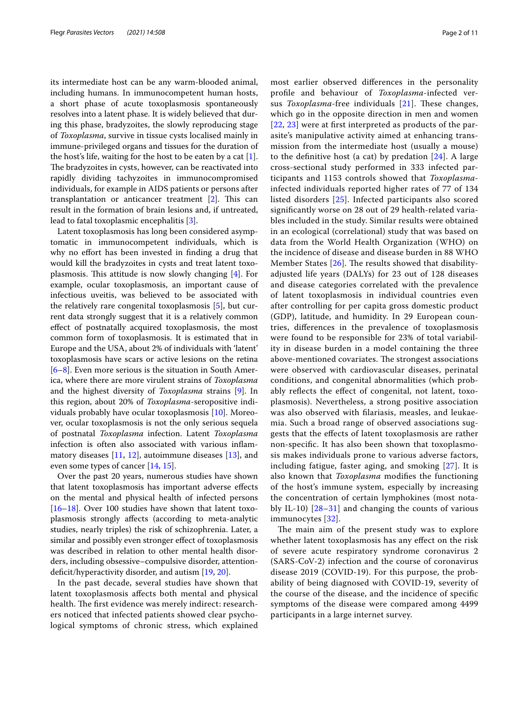its intermediate host can be any warm-blooded animal, including humans. In immunocompetent human hosts, a short phase of acute toxoplasmosis spontaneously resolves into a latent phase. It is widely believed that during this phase, bradyzoites, the slowly reproducing stage of *Toxoplasma*, survive in tissue cysts localised mainly in immune-privileged organs and tissues for the duration of the host's life, waiting for the host to be eaten by a cat [\[1](#page-9-0)]. The bradyzoites in cysts, however, can be reactivated into rapidly dividing tachyzoites in immunocompromised individuals, for example in AIDS patients or persons after transplantation or anticancer treatment  $[2]$ . This can result in the formation of brain lesions and, if untreated, lead to fatal toxoplasmic encephalitis [[3\]](#page-9-2).

Latent toxoplasmosis has long been considered asymptomatic in immunocompetent individuals, which is why no effort has been invested in finding a drug that would kill the bradyzoites in cysts and treat latent toxoplasmosis. This attitude is now slowly changing  $[4]$  $[4]$ . For example, ocular toxoplasmosis, an important cause of infectious uveitis, was believed to be associated with the relatively rare congenital toxoplasmosis [\[5\]](#page-9-4), but current data strongly suggest that it is a relatively common efect of postnatally acquired toxoplasmosis, the most common form of toxoplasmosis. It is estimated that in Europe and the USA, about 2% of individuals with 'latent' toxoplasmosis have scars or active lesions on the retina [[6–](#page-9-5)[8\]](#page-9-6). Even more serious is the situation in South America, where there are more virulent strains of *Toxoplasma* and the highest diversity of *Toxoplasma* strains [\[9](#page-9-7)]. In this region, about 20% of *Toxoplasma*-seropositive individuals probably have ocular toxoplasmosis [\[10](#page-9-8)]. Moreover, ocular toxoplasmosis is not the only serious sequela of postnatal *Toxoplasma* infection. Latent *Toxoplasma* infection is often also associated with various infammatory diseases  $[11, 12]$  $[11, 12]$  $[11, 12]$  $[11, 12]$ , autoimmune diseases  $[13]$  $[13]$ , and even some types of cancer [[14,](#page-9-12) [15](#page-9-13)].

Over the past 20 years, numerous studies have shown that latent toxoplasmosis has important adverse efects on the mental and physical health of infected persons [[16–](#page-9-14)[18](#page-9-15)]. Over 100 studies have shown that latent toxoplasmosis strongly afects (according to meta-analytic studies, nearly triples) the risk of schizophrenia. Later, a similar and possibly even stronger efect of toxoplasmosis was described in relation to other mental health disorders, including obsessive–compulsive disorder, attentiondefcit/hyperactivity disorder, and autism [\[19,](#page-9-16) [20](#page-9-17)].

In the past decade, several studies have shown that latent toxoplasmosis afects both mental and physical health. The first evidence was merely indirect: researchers noticed that infected patients showed clear psychological symptoms of chronic stress, which explained most earlier observed diferences in the personality profle and behaviour of *Toxoplasma*-infected versus *Toxoplasma-free* individuals [[21](#page-9-18)]. These changes, which go in the opposite direction in men and women [[22](#page-9-19), [23](#page-9-20)] were at frst interpreted as products of the parasite's manipulative activity aimed at enhancing transmission from the intermediate host (usually a mouse) to the definitive host (a cat) by predation  $[24]$  $[24]$ . A large cross-sectional study performed in 333 infected participants and 1153 controls showed that *Toxoplasma*infected individuals reported higher rates of 77 of 134 listed disorders [[25\]](#page-9-22). Infected participants also scored signifcantly worse on 28 out of 29 health-related variables included in the study. Similar results were obtained in an ecological (correlational) study that was based on data from the World Health Organization (WHO) on the incidence of disease and disease burden in 88 WHO Member States  $[26]$  $[26]$ . The results showed that disabilityadjusted life years (DALYs) for 23 out of 128 diseases and disease categories correlated with the prevalence of latent toxoplasmosis in individual countries even after controlling for per capita gross domestic product (GDP), latitude, and humidity. In 29 European countries, diferences in the prevalence of toxoplasmosis were found to be responsible for 23% of total variability in disease burden in a model containing the three above-mentioned covariates. The strongest associations were observed with cardiovascular diseases, perinatal conditions, and congenital abnormalities (which probably reflects the effect of congenital, not latent, toxoplasmosis). Nevertheless, a strong positive association was also observed with flariasis, measles, and leukaemia. Such a broad range of observed associations suggests that the efects of latent toxoplasmosis are rather non-specifc. It has also been shown that toxoplasmosis makes individuals prone to various adverse factors, including fatigue, faster aging, and smoking [[27](#page-9-24)]. It is also known that *Toxoplasma* modifes the functioning of the host's immune system, especially by increasing the concentration of certain lymphokines (most notably IL-10) [[28–](#page-9-25)[31](#page-9-26)] and changing the counts of various immunocytes [[32](#page-9-27)].

The main aim of the present study was to explore whether latent toxoplasmosis has any efect on the risk of severe acute respiratory syndrome coronavirus 2 (SARS-CoV-2) infection and the course of coronavirus disease 2019 (COVID-19). For this purpose, the probability of being diagnosed with COVID-19, severity of the course of the disease, and the incidence of specifc symptoms of the disease were compared among 4499 participants in a large internet survey.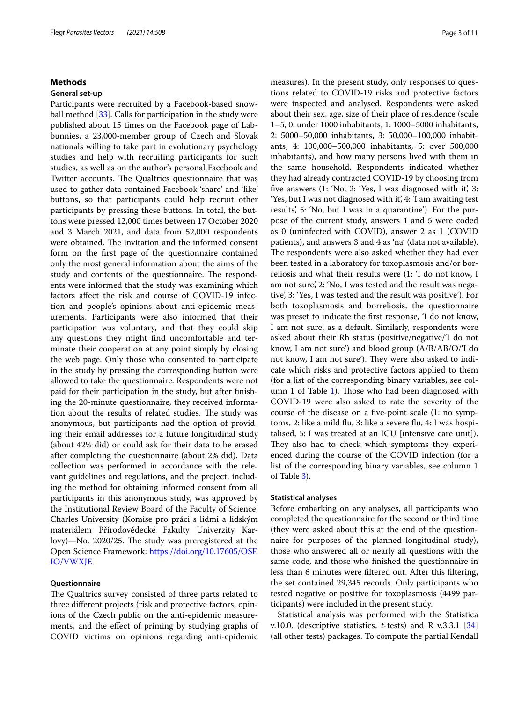# **Methods**

## **General set‑up**

Participants were recruited by a Facebook-based snowball method [\[33](#page-9-28)]. Calls for participation in the study were published about 15 times on the Facebook page of Labbunnies, a 23,000-member group of Czech and Slovak nationals willing to take part in evolutionary psychology studies and help with recruiting participants for such studies, as well as on the author's personal Facebook and Twitter accounts. The Qualtrics questionnaire that was used to gather data contained Facebook 'share' and 'like' buttons, so that participants could help recruit other participants by pressing these buttons. In total, the buttons were pressed 12,000 times between 17 October 2020 and 3 March 2021, and data from 52,000 respondents were obtained. The invitation and the informed consent form on the frst page of the questionnaire contained only the most general information about the aims of the study and contents of the questionnaire. The respondents were informed that the study was examining which factors afect the risk and course of COVID-19 infection and people's opinions about anti-epidemic measurements. Participants were also informed that their participation was voluntary, and that they could skip any questions they might fnd uncomfortable and terminate their cooperation at any point simply by closing the web page. Only those who consented to participate in the study by pressing the corresponding button were allowed to take the questionnaire. Respondents were not paid for their participation in the study, but after fnishing the 20-minute questionnaire, they received information about the results of related studies. The study was anonymous, but participants had the option of providing their email addresses for a future longitudinal study (about 42% did) or could ask for their data to be erased after completing the questionnaire (about 2% did). Data collection was performed in accordance with the relevant guidelines and regulations, and the project, including the method for obtaining informed consent from all participants in this anonymous study, was approved by the Institutional Review Board of the Faculty of Science, Charles University (Komise pro práci s lidmi a lidským materiálem Přírodovědecké Fakulty Univerzity Karlovy)-No. 2020/25. The study was preregistered at the Open Science Framework: [https://doi.org/10.17605/OSF.](https://doi.org/10.17605/OSF.IO/VWXJE) [IO/VWXJE](https://doi.org/10.17605/OSF.IO/VWXJE)

# **Questionnaire**

The Qualtrics survey consisted of three parts related to three diferent projects (risk and protective factors, opinions of the Czech public on the anti-epidemic measurements, and the efect of priming by studying graphs of COVID victims on opinions regarding anti-epidemic measures). In the present study, only responses to questions related to COVID-19 risks and protective factors were inspected and analysed. Respondents were asked about their sex, age, size of their place of residence (scale 1–5, 0: under 1000 inhabitants, 1: 1000–5000 inhabitants, 2: 5000–50,000 inhabitants, 3: 50,000–100,000 inhabitants, 4: 100,000–500,000 inhabitants, 5: over 500,000 inhabitants), and how many persons lived with them in the same household. Respondents indicated whether they had already contracted COVID-19 by choosing from five answers (1: 'No', 2: 'Yes, I was diagnosed with it', 3: 'Yes, but I was not diagnosed with it', 4: 'I am awaiting test results', 5: 'No, but I was in a quarantine'). For the purpose of the current study, answers 1 and 5 were coded as 0 (uninfected with COVID), answer 2 as 1 (COVID patients), and answers 3 and 4 as 'na' (data not available). The respondents were also asked whether they had ever been tested in a laboratory for toxoplasmosis and/or borreliosis and what their results were (1: 'I do not know, I am not sure', 2: 'No, I was tested and the result was negative', 3: 'Yes, I was tested and the result was positive'). For both toxoplasmosis and borreliosis, the questionnaire was preset to indicate the frst response, 'I do not know, I am not sure', as a default. Similarly, respondents were asked about their Rh status (positive/negative/'I do not know, I am not sure') and blood group (A/B/AB/O/'I do not know, I am not sure'). They were also asked to indicate which risks and protective factors applied to them (for a list of the corresponding binary variables, see col-umn 1 of Table [1\)](#page-3-0). Those who had been diagnosed with COVID-19 were also asked to rate the severity of the course of the disease on a fve-point scale (1: no symptoms, 2: like a mild fu, 3: like a severe fu, 4: I was hospitalised, 5: I was treated at an ICU [intensive care unit]). They also had to check which symptoms they experienced during the course of the COVID infection (for a list of the corresponding binary variables, see column 1 of Table [3\)](#page-6-0).

# **Statistical analyses**

Before embarking on any analyses, all participants who completed the questionnaire for the second or third time (they were asked about this at the end of the questionnaire for purposes of the planned longitudinal study), those who answered all or nearly all questions with the same code, and those who fnished the questionnaire in less than 6 minutes were fltered out. After this fltering, the set contained 29,345 records. Only participants who tested negative or positive for toxoplasmosis (4499 participants) were included in the present study.

Statistical analysis was performed with the Statistica v.10.0. (descriptive statistics, *t*-tests) and R v.3.3.1 [[34](#page-9-29)] (all other tests) packages. To compute the partial Kendall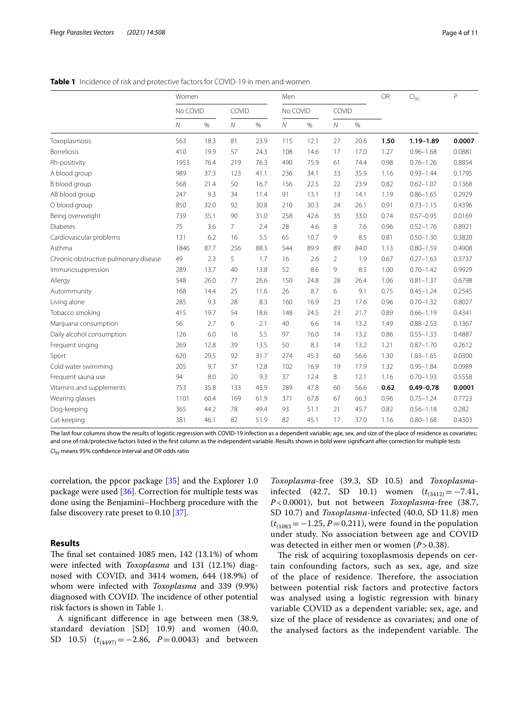<span id="page-3-0"></span>**Table 1** Incidence of risk and protective factors for COVID-19 in men and women

|                                       | Women    |      |            |      | Men            |      |                |      | OR   | $Cl_{95}$     | $\overline{P}$ |
|---------------------------------------|----------|------|------------|------|----------------|------|----------------|------|------|---------------|----------------|
|                                       | No COVID |      | COVID      |      | No COVID       |      | COVID          |      |      |               |                |
|                                       | $\cal N$ | $\%$ | ${\cal N}$ | $\%$ | $\overline{N}$ | $\%$ | ${\cal N}$     | $\%$ |      |               |                |
| Toxoplasmosis                         | 563      | 18.3 | 81         | 23.9 | 115            | 12.1 | 27             | 20.6 | 1.50 | $1.19 - 1.89$ | 0.0007         |
| <b>Borreliosis</b>                    | 410      | 19.9 | 57         | 24.3 | 108            | 14.6 | 17             | 17.0 | 1.27 | $0.96 - 1.68$ | 0.0881         |
| Rh-positivity                         | 1953     | 76.4 | 219        | 76.3 | 490            | 75.9 | 61             | 74.4 | 0.98 | $0.76 - 1.26$ | 0.8854         |
| A blood group                         | 989      | 37.3 | 123        | 41.1 | 236            | 34.1 | 33             | 35.9 | 1.16 | $0.93 - 1.44$ | 0.1795         |
| B blood group                         | 568      | 21.4 | 50         | 16.7 | 156            | 22.5 | 22             | 23.9 | 0.82 | $0.62 - 1.07$ | 0.1368         |
| AB blood group                        | 247      | 9.3  | 34         | 11.4 | 91             | 13.1 | 13             | 14.1 | 1.19 | $0.86 - 1.65$ | 0.2929         |
| O blood group                         | 850      | 32.0 | 92         | 30.8 | 210            | 30.3 | 24             | 26.1 | 0.91 | $0.73 - 1.15$ | 0.4396         |
| Being overweight                      | 739      | 35.1 | 90         | 31.0 | 258            | 42.6 | 35             | 33.0 | 0.74 | $0.57 - 0.95$ | 0.0169         |
| <b>Diabetes</b>                       | 75       | 3.6  | 7          | 2.4  | 28             | 4.6  | 8              | 7.6  | 0.96 | $0.52 - 1.76$ | 0.8921         |
| Cardiovascular problems               | 131      | 6.2  | 16         | 5.5  | 65             | 10.7 | 9              | 8.5  | 0.81 | $0.50 - 1.30$ | 0.3820         |
| Asthma                                | 1846     | 87.7 | 256        | 88.3 | 544            | 89.9 | 89             | 84.0 | 1.13 | $0.80 - 1.59$ | 0.4908         |
| Chronic obstructive pulmonary disease | 49       | 2.3  | 5          | 1.7  | 16             | 2.6  | $\overline{2}$ | 1.9  | 0.67 | $0.27 - 1.63$ | 0.3737         |
| Immunosuppression                     | 289      | 13.7 | 40         | 13.8 | 52             | 8.6  | 9              | 8.5  | 1.00 | $0.70 - 1.42$ | 0.9929         |
| Allergy                               | 548      | 26.0 | 77         | 26.6 | 150            | 24.8 | 28             | 26.4 | 1.06 | $0.81 - 1.37$ | 0.6798         |
| Autoimmunity                          | 168      | 14.4 | 25         | 11.6 | 26             | 8.7  | 6              | 9.1  | 0.75 | $0.45 - 1.24$ | 0.2545         |
| Living alone                          | 285      | 9.3  | 28         | 8.3  | 160            | 16.9 | 23             | 17.6 | 0.96 | $0.70 - 1.32$ | 0.8027         |
| Tobacco smoking                       | 415      | 19.7 | 54         | 18.6 | 148            | 24.5 | 23             | 21.7 | 0.89 | $0.66 - 1.19$ | 0.4341         |
| Marijuana consumption                 | 56       | 2.7  | 6          | 2.1  | 40             | 6.6  | 14             | 13.2 | 1.49 | $0.88 - 2.53$ | 0.1367         |
| Daily alcohol consumption             | 126      | 6.0  | 16         | 5.5  | 97             | 16.0 | 14             | 13.2 | 0.86 | $0.55 - 1.33$ | 0.4887         |
| Frequent singing                      | 269      | 12.8 | 39         | 13.5 | 50             | 8.3  | 14             | 13.2 | 1.21 | $0.87 - 1.70$ | 0.2612         |
| Sport                                 | 620      | 29.5 | 92         | 31.7 | 274            | 45.3 | 60             | 56.6 | 1.30 | $1.03 - 1.65$ | 0.0300         |
| Cold water swimming                   | 205      | 9.7  | 37         | 12.8 | 102            | 16.9 | 19             | 17.9 | 1.32 | $0.95 - 1.84$ | 0.0989         |
| Frequent sauna use                    | 94       | 8.0  | 20         | 9.3  | 37             | 12.4 | 8              | 12.1 | 1.16 | $0.70 - 1.93$ | 0.5558         |
| Vitamins and supplements              | 753      | 35.8 | 133        | 45.9 | 289            | 47.8 | 60             | 56.6 | 0.62 | $0.49 - 0.78$ | 0.0001         |
| Wearing glasses                       | 1101     | 60.4 | 169        | 61.9 | 371            | 67.8 | 67             | 66.3 | 0.96 | $0.75 - 1.24$ | 0.7723         |
| Dog-keeping                           | 365      | 44.2 | 78         | 49.4 | 93             | 51.1 | 21             | 45.7 | 0.82 | $0.56 - 1.18$ | 0.282          |
| Cat-keeping                           | 381      | 46.1 | 82         | 51.9 | 82             | 45.1 | 17             | 37.0 | 1.16 | $0.80 - 1.68$ | 0.4303         |

The last four columns show the results of logistic regression with COVID-19 infection as a dependent variable; age, sex, and size of the place of residence as covariates; and one of risk/protective factors listed in the frst column as the independent variable. Results shown in bold were signifcant after correction for multiple tests *CI95* means 95% confdence interval and *OR* odds ratio

correlation, the ppcor package [\[35](#page-9-30)] and the Explorer 1.0 package were used [\[36](#page-9-31)]. Correction for multiple tests was done using the Benjamini–Hochberg procedure with the false discovery rate preset to 0.10 [\[37](#page-9-32)].

# **Results**

The final set contained  $1085$  men,  $142$   $(13.1%)$  of whom were infected with *Toxoplasma* and 131 (12.1%) diagnosed with COVID, and 3414 women, 644 (18.9%) of whom were infected with *Toxoplasma* and 339 (9.9%) diagnosed with COVID. The incidence of other potential risk factors is shown in Table [1](#page-3-0).

A signifcant diference in age between men (38.9, standard deviation [SD] 10.9) and women (40.0, SD 10.5) ( $t_{(4497)}$  = −2.86, *P* = 0.0043) and between

*Toxoplasma*-free (39.3, SD 10.5) and *Toxoplasma*infected (42.7, SD 10.1) women  $(t_{(3412)}=-7.41,$ *P* < 0.0001), but not between *Toxoplasma*-free (38.7, SD 10.7) and *Toxoplasma*-infected (40.0, SD 11.8) men  $(t_{(1083)} = -1.25, P = 0.211)$ , were found in the population under study. No association between age and COVID was detected in either men or women (*P* > 0.38).

The risk of acquiring toxoplasmosis depends on certain confounding factors, such as sex, age, and size of the place of residence. Therefore, the association between potential risk factors and protective factors was analysed using a logistic regression with binary variable COVID as a dependent variable; sex, age, and size of the place of residence as covariates; and one of the analysed factors as the independent variable. The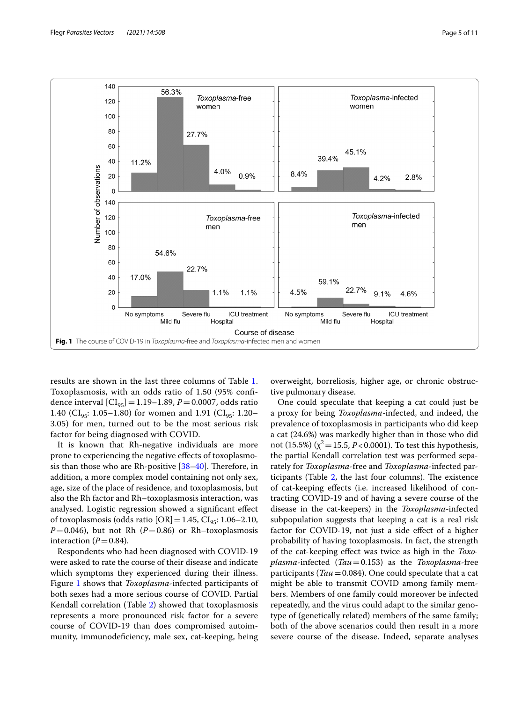

<span id="page-4-0"></span>results are shown in the last three columns of Table [1](#page-3-0). Toxoplasmosis, with an odds ratio of 1.50 (95% confdence interval  $\left[CI_{95}\right]=1.19-1.89, P=0.0007, \text{ odds ratio}$ 1.40 (CI<sub>95</sub>: 1.05–1.80) for women and 1.91 (CI<sub>95</sub>: 1.20– 3.05) for men, turned out to be the most serious risk factor for being diagnosed with COVID.

It is known that Rh-negative individuals are more prone to experiencing the negative efects of toxoplasmosis than those who are Rh-positive  $[38-40]$  $[38-40]$  $[38-40]$ . Therefore, in addition, a more complex model containing not only sex, age, size of the place of residence, and toxoplasmosis, but also the Rh factor and Rh–toxoplasmosis interaction, was analysed. Logistic regression showed a signifcant efect of toxoplasmosis (odds ratio  $[OR] = 1.45$ ,  $CI_{q5}: 1.06-2.10$ ,  $P=0.046$ ), but not Rh ( $P=0.86$ ) or Rh–toxoplasmosis interaction  $(P=0.84)$ .

Respondents who had been diagnosed with COVID-19 were asked to rate the course of their disease and indicate which symptoms they experienced during their illness. Figure [1](#page-4-0) shows that *Toxoplasma*-infected participants of both sexes had a more serious course of COVID. Partial Kendall correlation (Table [2\)](#page-5-0) showed that toxoplasmosis represents a more pronounced risk factor for a severe course of COVID-19 than does compromised autoimmunity, immunodefciency, male sex, cat-keeping, being overweight, borreliosis, higher age, or chronic obstructive pulmonary disease.

One could speculate that keeping a cat could just be a proxy for being *Toxoplasma*-infected, and indeed, the prevalence of toxoplasmosis in participants who did keep a cat (24.6%) was markedly higher than in those who did not (15.5%) ( $\chi^2$  = 15.5, *P* < 0.0001). To test this hypothesis, the partial Kendall correlation test was performed separately for *Toxoplasma*-free and *Toxoplasma*-infected participants (Table  $2$ , the last four columns). The existence of cat-keeping efects (i.e. increased likelihood of contracting COVID-19 and of having a severe course of the disease in the cat-keepers) in the *Toxoplasma*-infected subpopulation suggests that keeping a cat is a real risk factor for COVID-19, not just a side efect of a higher probability of having toxoplasmosis. In fact, the strength of the cat-keeping efect was twice as high in the *Toxoplasma*-infected (*Tau*=0.153) as the *Toxoplasma*-free participants (*Tau*=0.084). One could speculate that a cat might be able to transmit COVID among family members. Members of one family could moreover be infected repeatedly, and the virus could adapt to the similar genotype of (genetically related) members of the same family; both of the above scenarios could then result in a more severe course of the disease. Indeed, separate analyses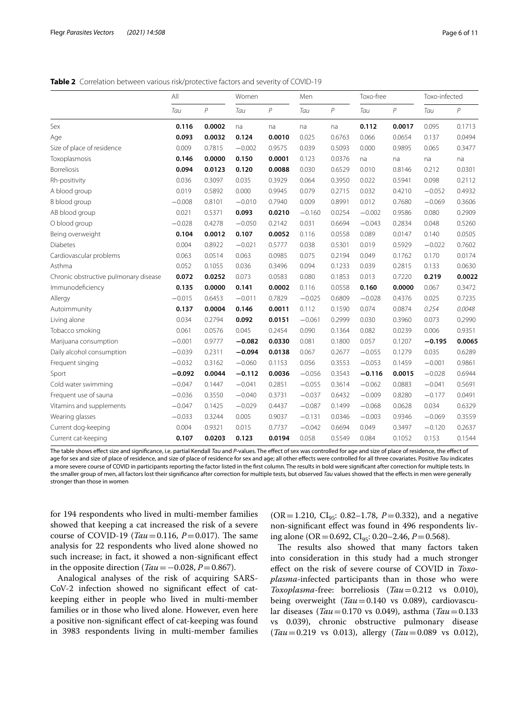<span id="page-5-0"></span>**Table 2** Correlation between various risk/protective factors and severity of COVID-19

|                                       | All      |              | Women    |                | Men      |        | Toxo-free |              | Toxo-infected |        |
|---------------------------------------|----------|--------------|----------|----------------|----------|--------|-----------|--------------|---------------|--------|
|                                       | Tau      | $\mathcal P$ | Tau      | $\overline{P}$ | Tau      | $\,P$  | Tau       | $\mathcal P$ | Tau           | $\,P$  |
| Sex                                   | 0.116    | 0.0002       | na       | na             | na       | na     | 0.112     | 0.0017       | 0.095         | 0.1713 |
| Age                                   | 0.093    | 0.0032       | 0.124    | 0.0010         | 0.025    | 0.6763 | 0.066     | 0.0654       | 0.137         | 0.0494 |
| Size of place of residence            | 0.009    | 0.7815       | $-0.002$ | 0.9575         | 0.039    | 0.5093 | 0.000     | 0.9895       | 0.065         | 0.3477 |
| Toxoplasmosis                         | 0.146    | 0.0000       | 0.150    | 0.0001         | 0.123    | 0.0376 | na        | na           | na            | na     |
| <b>Borreliosis</b>                    | 0.094    | 0.0123       | 0.120    | 0.0088         | 0.030    | 0.6529 | 0.010     | 0.8146       | 0.212         | 0.0301 |
| Rh-positivity                         | 0.036    | 0.3097       | 0.035    | 0.3929         | 0.064    | 0.3950 | 0.022     | 0.5941       | 0.098         | 0.2112 |
| A blood group                         | 0.019    | 0.5892       | 0.000    | 0.9945         | 0.079    | 0.2715 | 0.032     | 0.4210       | $-0.052$      | 0.4932 |
| B blood group                         | $-0.008$ | 0.8101       | $-0.010$ | 0.7940         | 0.009    | 0.8991 | 0.012     | 0.7680       | $-0.069$      | 0.3606 |
| AB blood group                        | 0.021    | 0.5371       | 0.093    | 0.0210         | $-0.160$ | 0.0254 | $-0.002$  | 0.9586       | 0.080         | 0.2909 |
| O blood group                         | $-0.028$ | 0.4278       | $-0.050$ | 0.2142         | 0.031    | 0.6694 | $-0.043$  | 0.2834       | 0.048         | 0.5260 |
| Being overweight                      | 0.104    | 0.0012       | 0.107    | 0.0052         | 0.116    | 0.0558 | 0.089     | 0.0147       | 0.140         | 0.0505 |
| <b>Diabetes</b>                       | 0.004    | 0.8922       | $-0.021$ | 0.5777         | 0.038    | 0.5301 | 0.019     | 0.5929       | $-0.022$      | 0.7602 |
| Cardiovascular problems               | 0.063    | 0.0514       | 0.063    | 0.0985         | 0.075    | 0.2194 | 0.049     | 0.1762       | 0.170         | 0.0174 |
| Asthma                                | 0.052    | 0.1055       | 0.036    | 0.3496         | 0.094    | 0.1233 | 0.039     | 0.2815       | 0.133         | 0.0630 |
| Chronic obstructive pulmonary disease | 0.072    | 0.0252       | 0.073    | 0.0583         | 0.080    | 0.1853 | 0.013     | 0.7220       | 0.219         | 0.0022 |
| Immunodeficiency                      | 0.135    | 0.0000       | 0.141    | 0.0002         | 0.116    | 0.0558 | 0.160     | 0.0000       | 0.067         | 0.3472 |
| Allergy                               | $-0.015$ | 0.6453       | $-0.011$ | 0.7829         | $-0.025$ | 0.6809 | $-0.028$  | 0.4376       | 0.025         | 0.7235 |
| Autoimmunity                          | 0.137    | 0.0004       | 0.146    | 0.0011         | 0.112    | 0.1590 | 0.074     | 0.0874       | 0.254         | 0.0048 |
| Living alone                          | 0.034    | 0.2794       | 0.092    | 0.0151         | $-0.061$ | 0.2999 | 0.030     | 0.3960       | 0.073         | 0.2990 |
| Tobacco smoking                       | 0.061    | 0.0576       | 0.045    | 0.2454         | 0.090    | 0.1364 | 0.082     | 0.0239       | 0.006         | 0.9351 |
| Marijuana consumption                 | $-0.001$ | 0.9777       | $-0.082$ | 0.0330         | 0.081    | 0.1800 | 0.057     | 0.1207       | $-0.195$      | 0.0065 |
| Daily alcohol consumption             | $-0.039$ | 0.2311       | $-0.094$ | 0.0138         | 0.067    | 0.2677 | $-0.055$  | 0.1279       | 0.035         | 0.6289 |
| Frequent singing                      | $-0.032$ | 0.3162       | $-0.060$ | 0.1153         | 0.056    | 0.3553 | $-0.053$  | 0.1459       | $-0.001$      | 0.9861 |
| Sport                                 | $-0.092$ | 0.0044       | $-0.112$ | 0.0036         | $-0.056$ | 0.3543 | $-0.116$  | 0.0015       | $-0.028$      | 0.6944 |
| Cold water swimming                   | $-0.047$ | 0.1447       | $-0.041$ | 0.2851         | $-0.055$ | 0.3614 | $-0.062$  | 0.0883       | $-0.041$      | 0.5691 |
| Frequent use of sauna                 | $-0.036$ | 0.3550       | $-0.040$ | 0.3731         | $-0.037$ | 0.6432 | $-0.009$  | 0.8280       | $-0.177$      | 0.0491 |
| Vitamins and supplements              | $-0.047$ | 0.1425       | $-0.029$ | 0.4437         | $-0.087$ | 0.1499 | $-0.068$  | 0.0628       | 0.034         | 0.6329 |
| Wearing glasses                       | $-0.033$ | 0.3244       | 0.005    | 0.9037         | $-0.131$ | 0.0346 | $-0.003$  | 0.9346       | $-0.069$      | 0.3559 |
| Current dog-keeping                   | 0.004    | 0.9321       | 0.015    | 0.7737         | $-0.042$ | 0.6694 | 0.049     | 0.3497       | $-0.120$      | 0.2637 |
| Current cat-keeping                   | 0.107    | 0.0203       | 0.123    | 0.0194         | 0.058    | 0.5549 | 0.084     | 0.1052       | 0.153         | 0.1544 |

The table shows efect size and signifcance, i.e. partial Kendall *Tau* and *P*-values. The efect of sex was controlled for age and size of place of residence, the efect of age for sex and size of place of residence, and size of place of residence for sex and age; all other efects were controlled for all three covariates. Positive *Tau* indicates a more severe course of COVID in participants reporting the factor listed in the first column. The results in bold were significant after correction for multiple tests. In the smaller group of men, all factors lost their signifcance after correction for multiple tests, but observed *Tau* values showed that the efects in men were generally stronger than those in women

for 194 respondents who lived in multi-member families showed that keeping a cat increased the risk of a severe course of COVID-19 (*Tau* = 0.116, *P* = 0.017). The same analysis for 22 respondents who lived alone showed no such increase; in fact, it showed a non-signifcant efect in the opposite direction ( $Tau=-0.028$ ,  $P=0.867$ ).

Analogical analyses of the risk of acquiring SARS-CoV-2 infection showed no signifcant efect of catkeeping either in people who lived in multi-member families or in those who lived alone. However, even here a positive non-signifcant efect of cat-keeping was found in 3983 respondents living in multi-member families

(OR = 1.210, CI<sub>95</sub>: 0.82–1.78, *P* = 0.332), and a negative non-signifcant efect was found in 496 respondents living alone (OR=0.692, CI95: 0.20–2.46, *P*=0.568).

The results also showed that many factors taken into consideration in this study had a much stronger efect on the risk of severe course of COVID in *Toxoplasma*-infected participants than in those who were *Toxoplasma*-free: borreliosis (*Tau*=0.212 vs 0.010), being overweight (*Tau*=0.140 vs 0.089), cardiovascular diseases (*Tau*=0.170 vs 0.049), asthma (*Tau*=0.133 vs 0.039), chronic obstructive pulmonary disease (*Tau*=0.219 vs 0.013), allergy (*Tau*=0.089 vs 0.012),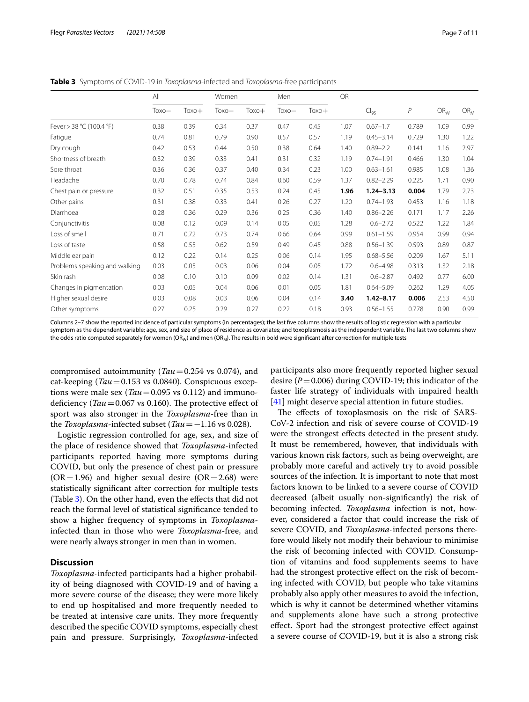<span id="page-6-0"></span>**Table 3** Symptoms of COVID-19 in *Toxoplasma*-infected and *Toxoplasma*-free participants

|                               | All     |         | Women   |         | Men     |         | <b>OR</b> |               |              |          |          |
|-------------------------------|---------|---------|---------|---------|---------|---------|-----------|---------------|--------------|----------|----------|
|                               | $Toxo-$ | $Toxo+$ | $Toxo-$ | $Toxo+$ | $Toxo-$ | $Toxo+$ |           | $Cl_{95}$     | $\mathcal P$ | $OR_{W}$ | $OR_{M}$ |
| Fever > 38 °C (100.4 °F)      | 0.38    | 0.39    | 0.34    | 0.37    | 0.47    | 0.45    | 1.07      | $0.67 - 1.7$  | 0.789        | 1.09     | 0.99     |
| Fatigue                       | 0.74    | 0.81    | 0.79    | 0.90    | 0.57    | 0.57    | 1.19      | $0.45 - 3.14$ | 0.729        | 1.30     | 1.22     |
| Dry cough                     | 0.42    | 0.53    | 0.44    | 0.50    | 0.38    | 0.64    | 1.40      | $0.89 - 2.2$  | 0.141        | 1.16     | 2.97     |
| Shortness of breath           | 0.32    | 0.39    | 0.33    | 0.41    | 0.31    | 0.32    | 1.19      | $0.74 - 1.91$ | 0.466        | 1.30     | 1.04     |
| Sore throat                   | 0.36    | 0.36    | 0.37    | 0.40    | 0.34    | 0.23    | 1.00      | $0.63 - 1.61$ | 0.985        | 1.08     | 1.36     |
| Headache                      | 0.70    | 0.78    | 0.74    | 0.84    | 0.60    | 0.59    | 1.37      | $0.82 - 2.29$ | 0.225        | 1.71     | 0.90     |
| Chest pain or pressure        | 0.32    | 0.51    | 0.35    | 0.53    | 0.24    | 0.45    | 1.96      | $1.24 - 3.13$ | 0.004        | 1.79     | 2.73     |
| Other pains                   | 0.31    | 0.38    | 0.33    | 0.41    | 0.26    | 0.27    | 1.20      | $0.74 - 1.93$ | 0.453        | 1.16     | 1.18     |
| Diarrhoea                     | 0.28    | 0.36    | 0.29    | 0.36    | 0.25    | 0.36    | 1.40      | $0.86 - 2.26$ | 0.171        | 1.17     | 2.26     |
| Conjunctivitis                | 0.08    | 0.12    | 0.09    | 0.14    | 0.05    | 0.05    | 1.28      | $0.6 - 2.72$  | 0.522        | 1.22     | 1.84     |
| Loss of smell                 | 0.71    | 0.72    | 0.73    | 0.74    | 0.66    | 0.64    | 0.99      | $0.61 - 1.59$ | 0.954        | 0.99     | 0.94     |
| Loss of taste                 | 0.58    | 0.55    | 0.62    | 0.59    | 0.49    | 0.45    | 0.88      | $0.56 - 1.39$ | 0.593        | 0.89     | 0.87     |
| Middle ear pain               | 0.12    | 0.22    | 0.14    | 0.25    | 0.06    | 0.14    | 1.95      | $0.68 - 5.56$ | 0.209        | 1.67     | 5.11     |
| Problems speaking and walking | 0.03    | 0.05    | 0.03    | 0.06    | 0.04    | 0.05    | 1.72      | $0.6 - 4.98$  | 0.313        | 1.32     | 2.18     |
| Skin rash                     | 0.08    | 0.10    | 0.10    | 0.09    | 0.02    | 0.14    | 1.31      | $0.6 - 2.87$  | 0.492        | 0.77     | 6.00     |
| Changes in pigmentation       | 0.03    | 0.05    | 0.04    | 0.06    | 0.01    | 0.05    | 1.81      | $0.64 - 5.09$ | 0.262        | 1.29     | 4.05     |
| Higher sexual desire          | 0.03    | 0.08    | 0.03    | 0.06    | 0.04    | 0.14    | 3.40      | $1.42 - 8.17$ | 0.006        | 2.53     | 4.50     |
| Other symptoms                | 0.27    | 0.25    | 0.29    | 0.27    | 0.22    | 0.18    | 0.93      | $0.56 - 1.55$ | 0.778        | 0.90     | 0.99     |

Columns 2–7 show the reported incidence of particular symptoms (in percentages); the last fve columns show the results of logistic regression with a particular symptom as the dependent variable; age, sex, and size of place of residence as covariates; and toxoplasmosis as the independent variable. The last two columns show the odds ratio computed separately for women (OR<sub>W</sub>) and men (OR<sub>W</sub>). The results in bold were significant after correction for multiple tests

compromised autoimmunity (*Tau*=0.254 vs 0.074), and cat-keeping (*Tau*=0.153 vs 0.0840). Conspicuous exceptions were male sex (*Tau*=0.095 vs 0.112) and immunodeficiency  $(Tau = 0.067 \text{ vs } 0.160)$ . The protective effect of sport was also stronger in the *Toxoplasma*-free than in the *Toxoplasma*-infected subset (*Tau*=−1.16 vs 0.028).

Logistic regression controlled for age, sex, and size of the place of residence showed that *Toxoplasma*-infected participants reported having more symptoms during COVID, but only the presence of chest pain or pressure  $(OR = 1.96)$  and higher sexual desire  $(OR = 2.68)$  were statistically signifcant after correction for multiple tests (Table [3](#page-6-0)). On the other hand, even the effects that did not reach the formal level of statistical signifcance tended to show a higher frequency of symptoms in *Toxoplasma*infected than in those who were *Toxoplasma*-free, and were nearly always stronger in men than in women.

# **Discussion**

*Toxoplasma*-infected participants had a higher probability of being diagnosed with COVID-19 and of having a more severe course of the disease; they were more likely to end up hospitalised and more frequently needed to be treated at intensive care units. They more frequently described the specifc COVID symptoms, especially chest pain and pressure. Surprisingly, *Toxoplasma*-infected

participants also more frequently reported higher sexual desire  $(P=0.006)$  during COVID-19; this indicator of the faster life strategy of individuals with impaired health [[41\]](#page-9-35) might deserve special attention in future studies.

The effects of toxoplasmosis on the risk of SARS-CoV-2 infection and risk of severe course of COVID-19 were the strongest efects detected in the present study. It must be remembered, however, that individuals with various known risk factors, such as being overweight, are probably more careful and actively try to avoid possible sources of the infection. It is important to note that most factors known to be linked to a severe course of COVID decreased (albeit usually non-signifcantly) the risk of becoming infected. *Toxoplasma* infection is not, however, considered a factor that could increase the risk of severe COVID, and *Toxoplasma*-infected persons therefore would likely not modify their behaviour to minimise the risk of becoming infected with COVID. Consumption of vitamins and food supplements seems to have had the strongest protective efect on the risk of becoming infected with COVID, but people who take vitamins probably also apply other measures to avoid the infection, which is why it cannot be determined whether vitamins and supplements alone have such a strong protective efect. Sport had the strongest protective efect against a severe course of COVID-19, but it is also a strong risk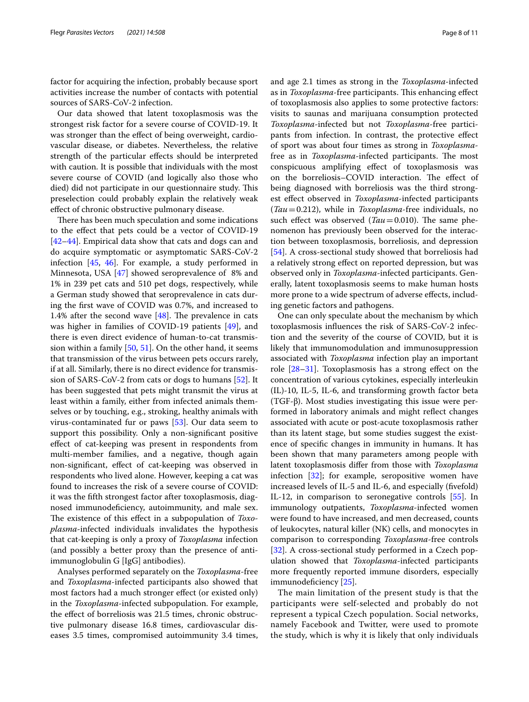factor for acquiring the infection, probably because sport activities increase the number of contacts with potential sources of SARS-CoV-2 infection.

Our data showed that latent toxoplasmosis was the strongest risk factor for a severe course of COVID-19. It was stronger than the efect of being overweight, cardiovascular disease, or diabetes. Nevertheless, the relative strength of the particular efects should be interpreted with caution. It is possible that individuals with the most severe course of COVID (and logically also those who died) did not participate in our questionnaire study. This preselection could probably explain the relatively weak efect of chronic obstructive pulmonary disease.

There has been much speculation and some indications to the efect that pets could be a vector of COVID-19 [[42–](#page-9-36)[44](#page-9-37)]. Empirical data show that cats and dogs can and do acquire symptomatic or asymptomatic SARS-CoV-2 infection [\[45](#page-9-38), [46\]](#page-10-0). For example, a study performed in Minnesota, USA [[47\]](#page-10-1) showed seroprevalence of 8% and 1% in 239 pet cats and 510 pet dogs, respectively, while a German study showed that seroprevalence in cats during the frst wave of COVID was 0.7%, and increased to 1.4% after the second wave  $[48]$  $[48]$  $[48]$ . The prevalence in cats was higher in families of COVID-19 patients [\[49\]](#page-10-3), and there is even direct evidence of human-to-cat transmission within a family [\[50](#page-10-4), [51\]](#page-10-5). On the other hand, it seems that transmission of the virus between pets occurs rarely, if at all. Similarly, there is no direct evidence for transmission of SARS-CoV-2 from cats or dogs to humans [\[52](#page-10-6)]. It has been suggested that pets might transmit the virus at least within a family, either from infected animals themselves or by touching, e.g., stroking, healthy animals with virus-contaminated fur or paws [[53](#page-10-7)]. Our data seem to support this possibility. Only a non-signifcant positive efect of cat-keeping was present in respondents from multi-member families, and a negative, though again non-signifcant, efect of cat-keeping was observed in respondents who lived alone. However, keeping a cat was found to increases the risk of a severe course of COVID: it was the ffth strongest factor after toxoplasmosis, diagnosed immunodefciency, autoimmunity, and male sex. The existence of this effect in a subpopulation of *Toxoplasma*-infected individuals invalidates the hypothesis that cat-keeping is only a proxy of *Toxoplasma* infection (and possibly a better proxy than the presence of antiimmunoglobulin G [IgG] antibodies).

Analyses performed separately on the *Toxoplasma*-free and *Toxoplasma*-infected participants also showed that most factors had a much stronger efect (or existed only) in the *Toxoplasma*-infected subpopulation. For example, the efect of borreliosis was 21.5 times, chronic obstructive pulmonary disease 16.8 times, cardiovascular diseases 3.5 times, compromised autoimmunity 3.4 times,

and age 2.1 times as strong in the *Toxoplasma*-infected as in *Toxoplasma*-free participants. This enhancing effect of toxoplasmosis also applies to some protective factors: visits to saunas and marijuana consumption protected *Toxoplasma*-infected but not *Toxoplasma*-free participants from infection. In contrast, the protective efect of sport was about four times as strong in *Toxoplasma*free as in *Toxoplasma*-infected participants. The most conspicuous amplifying efect of toxoplasmosis was on the borreliosis–COVID interaction. The effect of being diagnosed with borreliosis was the third strongest efect observed in *Toxoplasma*-infected participants (*Tau*=0.212), while in *Toxoplasma*-free individuals, no such effect was observed  $(Tau = 0.010)$ . The same phenomenon has previously been observed for the interaction between toxoplasmosis, borreliosis, and depression [[54\]](#page-10-8). A cross-sectional study showed that borreliosis had a relatively strong effect on reported depression, but was observed only in *Toxoplasma*-infected participants. Generally, latent toxoplasmosis seems to make human hosts more prone to a wide spectrum of adverse efects, including genetic factors and pathogens.

One can only speculate about the mechanism by which toxoplasmosis infuences the risk of SARS-CoV-2 infection and the severity of the course of COVID, but it is likely that immunomodulation and immunosuppression associated with *Toxoplasma* infection play an important role [[28–](#page-9-25)[31\]](#page-9-26). Toxoplasmosis has a strong efect on the concentration of various cytokines, especially interleukin (IL)-10, IL-5, IL-6, and transforming growth factor beta (TGF-β). Most studies investigating this issue were performed in laboratory animals and might refect changes associated with acute or post-acute toxoplasmosis rather than its latent stage, but some studies suggest the existence of specifc changes in immunity in humans. It has been shown that many parameters among people with latent toxoplasmosis difer from those with *Toxoplasma* infection [[32\]](#page-9-27); for example, seropositive women have increased levels of IL-5 and IL-6, and especially (fvefold) IL-12, in comparison to seronegative controls [[55\]](#page-10-9). In immunology outpatients, *Toxoplasma*-infected women were found to have increased, and men decreased, counts of leukocytes, natural killer (NK) cells, and monocytes in comparison to corresponding *Toxoplasma*-free controls [[32\]](#page-9-27). A cross-sectional study performed in a Czech population showed that *Toxoplasma*-infected participants more frequently reported immune disorders, especially immunodeficiency [[25](#page-9-22)].

The main limitation of the present study is that the participants were self-selected and probably do not represent a typical Czech population. Social networks, namely Facebook and Twitter, were used to promote the study, which is why it is likely that only individuals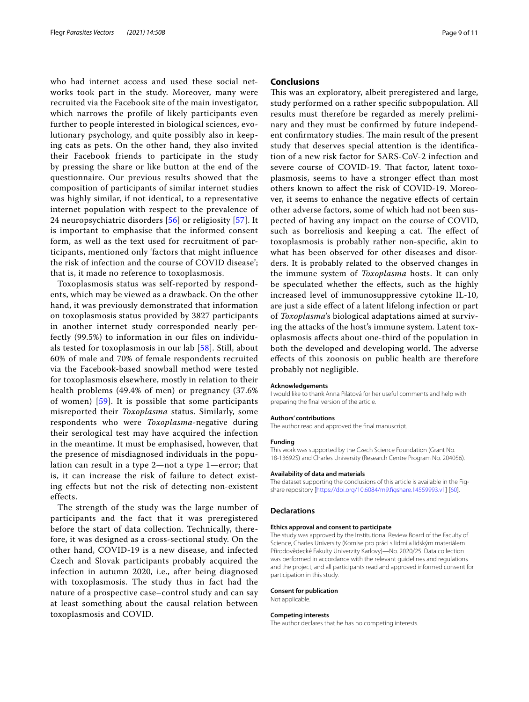who had internet access and used these social networks took part in the study. Moreover, many were recruited via the Facebook site of the main investigator, which narrows the profile of likely participants even further to people interested in biological sciences, evolutionary psychology, and quite possibly also in keeping cats as pets. On the other hand, they also invited their Facebook friends to participate in the study by pressing the share or like button at the end of the questionnaire. Our previous results showed that the composition of participants of similar internet studies was highly similar, if not identical, to a representative internet population with respect to the prevalence of 24 neuropsychiatric disorders [\[56\]](#page-10-10) or religiosity [\[57\]](#page-10-11). It is important to emphasise that the informed consent form, as well as the text used for recruitment of participants, mentioned only 'factors that might influence the risk of infection and the course of COVID disease'; that is, it made no reference to toxoplasmosis.

Toxoplasmosis status was self-reported by respondents, which may be viewed as a drawback. On the other hand, it was previously demonstrated that information on toxoplasmosis status provided by 3827 participants in another internet study corresponded nearly perfectly (99.5%) to information in our files on individuals tested for toxoplasmosis in our lab [\[58\]](#page-10-12). Still, about 60% of male and 70% of female respondents recruited via the Facebook-based snowball method were tested for toxoplasmosis elsewhere, mostly in relation to their health problems (49.4% of men) or pregnancy (37.6% of women) [\[59\]](#page-10-13). It is possible that some participants misreported their *Toxoplasma* status. Similarly, some respondents who were *Toxoplasma*-negative during their serological test may have acquired the infection in the meantime. It must be emphasised, however, that the presence of misdiagnosed individuals in the population can result in a type 2—not a type 1—error; that is, it can increase the risk of failure to detect existing effects but not the risk of detecting non-existent effects.

The strength of the study was the large number of participants and the fact that it was preregistered before the start of data collection. Technically, therefore, it was designed as a cross-sectional study. On the other hand, COVID-19 is a new disease, and infected Czech and Slovak participants probably acquired the infection in autumn 2020, i.e., after being diagnosed with toxoplasmosis. The study thus in fact had the nature of a prospective case–control study and can say at least something about the causal relation between toxoplasmosis and COVID.

# **Conclusions**

This was an exploratory, albeit preregistered and large, study performed on a rather specifc subpopulation. All results must therefore be regarded as merely preliminary and they must be confrmed by future independent confirmatory studies. The main result of the present study that deserves special attention is the identifcation of a new risk factor for SARS-CoV-2 infection and severe course of COVID-19. That factor, latent toxoplasmosis, seems to have a stronger efect than most others known to afect the risk of COVID-19. Moreover, it seems to enhance the negative efects of certain other adverse factors, some of which had not been suspected of having any impact on the course of COVID, such as borreliosis and keeping a cat. The effect of toxoplasmosis is probably rather non-specifc, akin to what has been observed for other diseases and disorders. It is probably related to the observed changes in the immune system of *Toxoplasma* hosts. It can only be speculated whether the efects, such as the highly increased level of immunosuppressive cytokine IL-10, are just a side efect of a latent lifelong infection or part of *Toxoplasma*'s biological adaptations aimed at surviving the attacks of the host's immune system. Latent toxoplasmosis afects about one-third of the population in both the developed and developing world. The adverse efects of this zoonosis on public health are therefore probably not negligible.

#### **Acknowledgements**

I would like to thank Anna Pilátová for her useful comments and help with preparing the fnal version of the article.

#### **Authors' contributions**

The author read and approved the fnal manuscript.

#### **Funding**

This work was supported by the Czech Science Foundation (Grant No. 18-13692S) and Charles University (Research Centre Program No. 204056).

#### **Availability of data and materials**

The dataset supporting the conclusions of this article is available in the Figshare repository [\[https://doi.org/10.6084/m9.fgshare.14559993.v1\]](https://doi.org/10.6084/m9.figshare.14559993.v1) [\[60\]](#page-10-14).

## **Declarations**

#### **Ethics approval and consent to participate**

The study was approved by the Institutional Review Board of the Faculty of Science, Charles University (Komise pro práci s lidmi a lidským materiálem Přírodovědecké Fakulty Univerzity Karlovy)—No. 2020/25. Data collection was performed in accordance with the relevant guidelines and regulations and the project, and all participants read and approved informed consent for participation in this study.

## **Consent for publication**

Not applicable.

#### **Competing interests**

The author declares that he has no competing interests.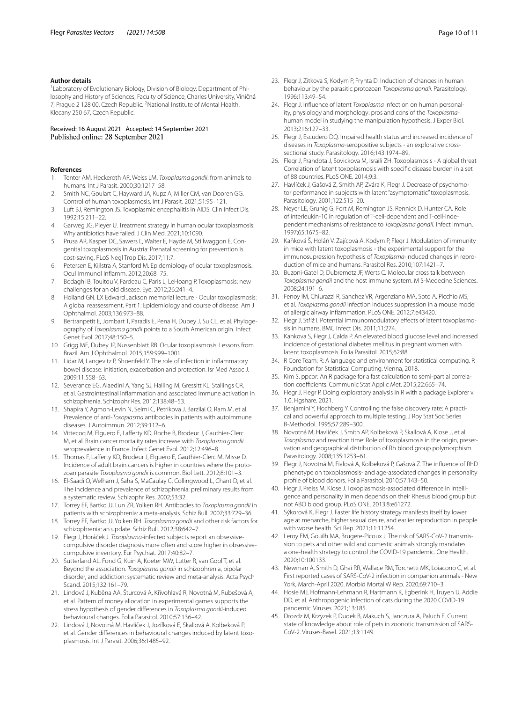## **Author details**

<sup>1</sup> Laboratory of Evolutionary Biology, Division of Biology, Department of Philosophy and History of Sciences, Faculty of Science, Charles University, Viničná 7, Prague 2 128 00, Czech Republic. <sup>2</sup> National Institute of Mental Health, Klecany 250 67, Czech Republic.

### Received: 16 August 2021 Accepted: 14 September 2021 Published online: 28 September 2021

### **References**

- <span id="page-9-0"></span>1. Tenter AM, Heckeroth AR, Weiss LM. *Toxoplasma gondii*: from animals to humans. Int J Parasit. 2000;30:1217–58.
- <span id="page-9-1"></span>2. Smith NC, Goulart C, Hayward JA, Kupz A, Miller CM, van Dooren GG. Control of human toxoplasmosis. Int J Parasit. 2021;51:95–121.
- <span id="page-9-2"></span>3. Luft BJ, Remington JS. Toxoplasmic encephalitis in AIDS. Clin Infect Dis. 1992;15:211–22.
- <span id="page-9-3"></span>4. Garweg JG, Pleyer U. Treatment strategy in human ocular toxoplasmosis: Why antibiotics have failed. J Clin Med. 2021;10:1090.
- <span id="page-9-4"></span>5. Prusa AR, Kasper DC, Sawers L, Walter E, Hayde M, Stillwaggon E. Congenital toxoplasmosis in Austria: Prenatal screening for prevention is cost-saving. PLoS Negl Trop Dis. 2017;11:7.
- <span id="page-9-5"></span>6. Petersen E, Kijlstra A, Stanford M. Epidemiology of ocular toxoplasmosis. Ocul Immunol Infamm. 2012;20:68–75.
- 7. Bodaghi B, Touitou V, Fardeau C, Paris L, LeHoang P. Toxoplasmosis: new challenges for an old disease. Eye. 2012;26:241–4.
- <span id="page-9-6"></span>8. Holland GN. LX Edward Jackson memorial lecture - Ocular toxoplasmosis: A global reassessment. Part 1: Epidemiology and course of disease. Am J Ophthalmol. 2003;136:973–88.
- <span id="page-9-7"></span>9. Bertranpetit E, Jombart T, Paradis E, Pena H, Dubey J, Su CL, et al. Phylogeography of *Toxoplasma gondii* points to a South American origin. Infect Genet Evol. 2017;48:150–5.
- <span id="page-9-8"></span>10. Grigg ME, Dubey JP, Nussenblatt RB. Ocular toxoplasmosis: Lessons from Brazil. Am J Ophthalmol. 2015;159:999–1001.
- <span id="page-9-9"></span>11. Lidar M, Langevitz P, Shoenfeld Y. The role of infection in infammatory bowel disease: initiation, exacerbation and protection. Isr Med Assoc J. 2009;11:558–63.
- <span id="page-9-10"></span>12. Severance EG, Alaedini A, Yang SJ, Halling M, Gressitt KL, Stallings CR, et al. Gastrointestinal infammation and associated immune activation in schizophrenia. Schizophr Res. 2012;138:48–53.
- <span id="page-9-11"></span>13. Shapira Y, Agmon-Levin N, Selmi C, Petrikova J, Barzilai O, Ram M, et al. Prevalence of anti-*Toxoplasma* antibodies in patients with autoimmune diseases. J Autoimmun. 2012;39:112–6.
- <span id="page-9-12"></span>14. Vittecoq M, Elguero E, Lafferty KD, Roche B, Brodeur J, Gauthier-Clerc M, et al. Brain cancer mortality rates increase with *Toxoplasma gondii* seroprevalence in France. Infect Genet Evol. 2012;12:496–8.
- <span id="page-9-13"></span>15. Thomas F, Lafferty KD, Brodeur J, Elguero E, Gauthier-Clerc M, Misse D. Incidence of adult brain cancers is higher in countries where the protozoan parasite *Toxoplasma gondii* is common. Biol Lett. 2012;8:101–3.
- <span id="page-9-14"></span>16. El-Saadi O, Welham J, Saha S, MaCaulay C, Collingwood L, Chant D, et al. The incidence and prevalence of schizophrenia: preliminary results from a systematic review. Schizophr Res. 2002;53:32.
- 17. Torrey EF, Bartko JJ, Lun ZR, Yolken RH. Antibodies to *Toxoplasma gondii* in patients with schizophrenia: a meta-analysis. Schiz Bull. 2007;33:729–36.
- <span id="page-9-15"></span>18. Torrey EF, Bartko JJ, Yolken RH. *Toxoplasma gondii* and other risk factors for schizophrenia: an update. Schiz Bull. 2012;38:642–7.
- <span id="page-9-16"></span>19. Flegr J, Horáček J. *Toxoplasma*-infected subjects report an obsessivecompulsive disorder diagnosis more often and score higher in obsessivecompulsive inventory. Eur Psychiat. 2017;40:82–7.
- <span id="page-9-17"></span>20. Sutterland AL, Fond G, Kuin A, Koeter MW, Lutter R, van Gool T, et al. Beyond the association. *Toxoplasma gondii* in schizophrenia, bipolar disorder, and addiction: systematic review and meta-analysis. Acta Psych Scand. 2015;132:161–79.
- <span id="page-9-18"></span>21. Lindová J, Kuběna AA, Šturcová A, Křivohlavá R, Novotná M, Rubešová A, et al. Pattern of money allocation in experimental games supports the stress hypothesis of gender diferences in *Toxoplasma gondii*-induced behavioural changes. Folia Parasitol. 2010;57:136–42.
- <span id="page-9-19"></span>22. Lindová J, Novotná M, Havlíček J, Jozífková E, Skallová A, Kolbeková P, et al. Gender diferences in behavioural changes induced by latent toxoplasmosis. Int J Parasit. 2006;36:1485–92.
- <span id="page-9-20"></span>23. Flegr J, Zitkova S, Kodym P, Frynta D. Induction of changes in human behaviour by the parasitic protozoan *Toxoplasma gondii*. Parasitology. 1996;113:49–54.
- <span id="page-9-21"></span>24. Flegr J. Infuence of latent *Toxoplasma* infection on human personality, physiology and morphology: pros and cons of the *Toxoplasma*human model in studying the manipulation hypothesis. J Exper Biol. 2013;216:127–33.
- <span id="page-9-22"></span>25. Flegr J, Escudero DQ. Impaired health status and increased incidence of diseases in *Toxoplasma*-seropositive subjects - an explorative crosssectional study. Parasitology. 2016;143:1974–89.
- <span id="page-9-23"></span>26. Flegr J, Prandota J, Sovickova M, Israili ZH. Toxoplasmosis - A global threat Correlation of latent toxoplasmosis with specifc disease burden in a set of 88 countries. PLoS ONE. 2014;9:3.
- <span id="page-9-24"></span>27. Havlíček J, Gašová Z, Smith AP, Zvára K, Flegr J. Decrease of psychomotor performance in subjects with latent "asymptomatic" toxoplasmosis. Parasitology. 2001;122:515–20.
- <span id="page-9-25"></span>28. Neyer LE, Grunig G, Fort M, Remington JS, Rennick D, Hunter CA. Role of interleukin-10 in regulation of T-cell-dependent and T-cell-independent mechanisms of resistance to *Toxoplasma gondii*. Infect Immun. 1997;65:1675–82.
- 29. Kaňková Š, Holáň V, Zajícová A, Kodym P, Flegr J. Modulation of immunity in mice with latent toxoplasmosis - the experimental support for the immunosupression hypothesis of *Toxoplasma*-induced changes in reproduction of mice and humans. Parasitol Res. 2010;107:1421–7.
- 30. Buzoni-Gatel D, Dubremetz JF, Werts C. Molecular cross talk between *Toxoplasma gondii* and the host immune system. M S-Medecine Sciences. 2008;24:191–6.
- <span id="page-9-26"></span>31. Fenoy IM, Chiurazzi R, Sanchez VR, Argenziano MA, Soto A, Picchio MS, et al. *Toxoplasma gondii* infection induces suppression in a mouse model of allergic airway infammation. PLoS ONE. 2012;7:e43420.
- <span id="page-9-27"></span>32. Flegr J, Stříž I. Potential immunomodulatory efects of latent toxoplasmosis in humans. BMC Infect Dis. 2011;11:274.
- <span id="page-9-28"></span>33. Kankova S, Flegr J, Calda P. An elevated blood glucose level and increased incidence of gestational diabetes mellitus in pregnant women with latent toxoplasmosis. Folia Parasitol. 2015;62:88.
- <span id="page-9-29"></span>34. R Core Team: R: A language and environment for statistical computing. R Foundation for Statistical Computing. Vienna, 2018.
- <span id="page-9-30"></span>35. Kim S. ppcor: An R package for a fast calculation to semi-partial correlation coefficients. Communic Stat Applic Met. 2015;22:665-74.
- <span id="page-9-31"></span>36. Flegr J, Flegr P. Doing exploratory analysis in R with a package Explorer v. 1.0. Figshare. 2021.
- <span id="page-9-32"></span>37. Benjamini Y, Hochberg Y. Controlling the false discovery rate: A practical and powerful approach to multiple testing. J Roy Stat Soc Series B-Methodol. 1995;57:289–300.
- <span id="page-9-33"></span>38. Novotná M, Havlíček J, Smith AP, Kolbeková P, Skallová A, Klose J, et al. *Toxoplasma* and reaction time: Role of toxoplasmosis in the origin, preservation and geographical distribution of Rh blood group polymorphism. Parasitology. 2008;135:1253–61.
- 39. Flegr J, Novotná M, Fialová A, Kolbeková P, Gašová Z. The infuence of RhD phenotype on toxoplasmosis- and age-associated changes in personality profle of blood donors. Folia Parasitol. 2010;57:143–50.
- <span id="page-9-34"></span>40. Flegr J, Preiss M, Klose J. Toxoplasmosis-associated diference in intelligence and personality in men depends on their Rhesus blood group but not ABO blood group. PLoS ONE. 2013;8:e61272.
- <span id="page-9-35"></span>41. Sýkorová K, Flegr J. Faster life history strategy manifests itself by lower age at menarche, higher sexual desire, and earlier reproduction in people with worse health. Sci Rep. 2021;11:11254.
- <span id="page-9-36"></span>42. Leroy EM, Gouilh MA, Brugere-Picoux J. The risk of SARS-CoV-2 transmission to pets and other wild and domestic animals strongly mandates a one-health strategy to control the COVID-19 pandemic. One Health. 2020;10:100133.
- 43. Newman A, Smith D, Ghai RR, Wallace RM, Torchetti MK, Loiacono C, et al. First reported cases of SARS-CoV-2 infection in companion animals - New York, March-April 2020. Morbid Mortal W Rep. 2020;69:710–3.
- <span id="page-9-37"></span>44. Hosie MJ, Hofmann-Lehmann R, Hartmann K, Egberink H, Truyen U, Addie DD, et al. Anthropogenic infection of cats during the 2020 COVID-19 pandemic. Viruses. 2021;13:185.
- <span id="page-9-38"></span>45. Drozdz M, Krzyzek P, Dudek B, Makuch S, Janczura A, Paluch E. Current state of knowledge about role of pets in zoonotic transmission of SARS-CoV-2. Viruses-Basel. 2021;13:1149.